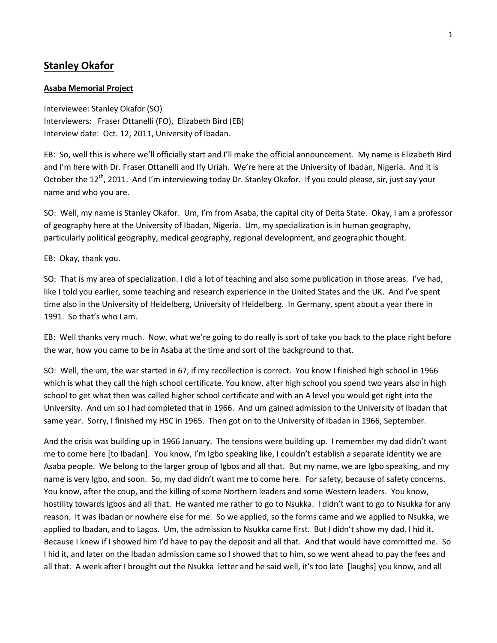# **Stanley Okafor**

## **Asaba Memorial Project**

Interviewee: Stanley Okafor (SO) Interviewers: Fraser Ottanelli (FO), Elizabeth Bird (EB) Interview date: Oct. 12, 2011, University of Ibadan.

EB: So, well this is where we'll officially start and I'll make the official announcement. My name is Elizabeth Bird and I'm here with Dr. Fraser Ottanelli and Ify Uriah. We're here at the University of Ibadan, Nigeria. And it is October the 12<sup>th</sup>, 2011. And I'm interviewing today Dr. Stanley Okafor. If you could please, sir, just say your name and who you are.

SO: Well, my name is Stanley Okafor. Um, I'm from Asaba, the capital city of Delta State. Okay, I am a professor of geography here at the University of Ibadan, Nigeria. Um, my specialization is in human geography, particularly political geography, medical geography, regional development, and geographic thought.

EB: Okay, thank you.

SO: That is my area of specialization. I did a lot of teaching and also some publication in those areas. I've had, like I told you earlier, some teaching and research experience in the United States and the UK. And I've spent time also in the University of Heidelberg, University of Heidelberg. In Germany, spent about a year there in 1991. So that's who I am.

EB: Well thanks very much. Now, what we're going to do really is sort of take you back to the place right before the war, how you came to be in Asaba at the time and sort of the background to that.

SO: Well, the um, the war started in 67, if my recollection is correct. You know I finished high school in 1966 which is what they call the high school certificate. You know, after high school you spend two years also in high school to get what then was called higher school certificate and with an A level you would get right into the University. And um so I had completed that in 1966. And um gained admission to the University of Ibadan that same year. Sorry, I finished my HSC in 1965. Then got on to the University of Ibadan in 1966, September.

And the crisis was building up in 1966 January. The tensions were building up. I remember my dad didn't want me to come here [to Ibadan]. You know, I'm Igbo speaking like, I couldn't establish a separate identity we are Asaba people. We belong to the larger group of Igbos and all that. But my name, we are Igbo speaking, and my name is very Igbo, and soon. So, my dad didn't want me to come here. For safety, because of safety concerns. You know, after the coup, and the killing of some Northern leaders and some Western leaders. You know, hostility towards Igbos and all that. He wanted me rather to go to Nsukka. I didn't want to go to Nsukka for any reason. It was Ibadan or nowhere else for me. So we applied, so the forms came and we applied to Nsukka, we applied to Ibadan, and to Lagos. Um, the admission to Nsukka came first. But I didn't show my dad. I hid it. Because I knew if I showed him I'd have to pay the deposit and all that. And that would have committed me. So I hid it, and later on the Ibadan admission came so I showed that to him, so we went ahead to pay the fees and all that. A week after I brought out the Nsukka letter and he said well, it's too late [laughs] you know, and all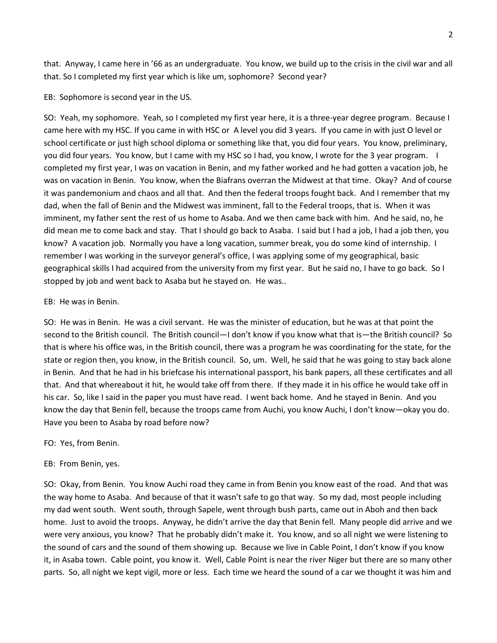that. Anyway, I came here in '66 as an undergraduate. You know, we build up to the crisis in the civil war and all that. So I completed my first year which is like um, sophomore? Second year?

EB: Sophomore is second year in the US.

SO: Yeah, my sophomore. Yeah, so I completed my first year here, it is a three-year degree program. Because I came here with my HSC. If you came in with HSC or A level you did 3 years. If you came in with just O level or school certificate or just high school diploma or something like that, you did four years. You know, preliminary, you did four years. You know, but I came with my HSC so I had, you know, I wrote for the 3 year program. I completed my first year, I was on vacation in Benin, and my father worked and he had gotten a vacation job, he was on vacation in Benin. You know, when the Biafrans overran the Midwest at that time. Okay? And of course it was pandemonium and chaos and all that. And then the federal troops fought back. And I remember that my dad, when the fall of Benin and the Midwest was imminent, fall to the Federal troops, that is. When it was imminent, my father sent the rest of us home to Asaba. And we then came back with him. And he said, no, he did mean me to come back and stay. That I should go back to Asaba. I said but I had a job, I had a job then, you know? A vacation job. Normally you have a long vacation, summer break, you do some kind of internship. I remember I was working in the surveyor general's office, I was applying some of my geographical, basic geographical skills I had acquired from the university from my first year. But he said no, I have to go back. So I stopped by job and went back to Asaba but he stayed on. He was..

#### EB: He was in Benin.

SO: He was in Benin. He was a civil servant. He was the minister of education, but he was at that point the second to the British council. The British council—I don't know if you know what that is—the British council? So that is where his office was, in the British council, there was a program he was coordinating for the state, for the state or region then, you know, in the British council. So, um. Well, he said that he was going to stay back alone in Benin. And that he had in his briefcase his international passport, his bank papers, all these certificates and all that. And that whereabout it hit, he would take off from there. If they made it in his office he would take off in his car. So, like I said in the paper you must have read. I went back home. And he stayed in Benin. And you know the day that Benin fell, because the troops came from Auchi, you know Auchi, I don't know—okay you do. Have you been to Asaba by road before now?

#### FO: Yes, from Benin.

## EB: From Benin, yes.

SO: Okay, from Benin. You know Auchi road they came in from Benin you know east of the road. And that was the way home to Asaba. And because of that it wasn't safe to go that way. So my dad, most people including my dad went south. Went south, through Sapele, went through bush parts, came out in Aboh and then back home. Just to avoid the troops. Anyway, he didn't arrive the day that Benin fell. Many people did arrive and we were very anxious, you know? That he probably didn't make it. You know, and so all night we were listening to the sound of cars and the sound of them showing up. Because we live in Cable Point, I don't know if you know it, in Asaba town. Cable point, you know it. Well, Cable Point is near the river Niger but there are so many other parts. So, all night we kept vigil, more or less. Each time we heard the sound of a car we thought it was him and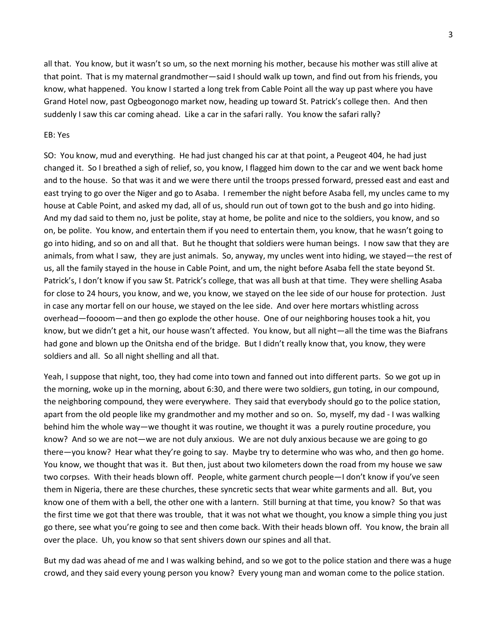all that. You know, but it wasn't so um, so the next morning his mother, because his mother was still alive at that point. That is my maternal grandmother—said I should walk up town, and find out from his friends, you know, what happened. You know I started a long trek from Cable Point all the way up past where you have Grand Hotel now, past Ogbeogonogo market now, heading up toward St. Patrick's college then. And then suddenly I saw this car coming ahead. Like a car in the safari rally. You know the safari rally?

#### EB: Yes

SO: You know, mud and everything. He had just changed his car at that point, a Peugeot 404, he had just changed it. So I breathed a sigh of relief, so, you know, I flagged him down to the car and we went back home and to the house. So that was it and we were there until the troops pressed forward, pressed east and east and east trying to go over the Niger and go to Asaba. I remember the night before Asaba fell, my uncles came to my house at Cable Point, and asked my dad, all of us, should run out of town got to the bush and go into hiding. And my dad said to them no, just be polite, stay at home, be polite and nice to the soldiers, you know, and so on, be polite. You know, and entertain them if you need to entertain them, you know, that he wasn't going to go into hiding, and so on and all that. But he thought that soldiers were human beings. I now saw that they are animals, from what I saw, they are just animals. So, anyway, my uncles went into hiding, we stayed—the rest of us, all the family stayed in the house in Cable Point, and um, the night before Asaba fell the state beyond St. Patrick's, I don't know if you saw St. Patrick's college, that was all bush at that time. They were shelling Asaba for close to 24 hours, you know, and we, you know, we stayed on the lee side of our house for protection. Just in case any mortar fell on our house, we stayed on the lee side. And over here mortars whistling across overhead—foooom—and then go explode the other house. One of our neighboring houses took a hit, you know, but we didn't get a hit, our house wasn't affected. You know, but all night—all the time was the Biafrans had gone and blown up the Onitsha end of the bridge. But I didn't really know that, you know, they were soldiers and all. So all night shelling and all that.

Yeah, I suppose that night, too, they had come into town and fanned out into different parts. So we got up in the morning, woke up in the morning, about 6:30, and there were two soldiers, gun toting, in our compound, the neighboring compound, they were everywhere. They said that everybody should go to the police station, apart from the old people like my grandmother and my mother and so on. So, myself, my dad - I was walking behind him the whole way—we thought it was routine, we thought it was a purely routine procedure, you know? And so we are not—we are not duly anxious. We are not duly anxious because we are going to go there—you know? Hear what they're going to say. Maybe try to determine who was who, and then go home. You know, we thought that was it. But then, just about two kilometers down the road from my house we saw two corpses. With their heads blown off. People, white garment church people—I don't know if you've seen them in Nigeria, there are these churches, these syncretic sects that wear white garments and all. But, you know one of them with a bell, the other one with a lantern. Still burning at that time, you know? So that was the first time we got that there was trouble, that it was not what we thought, you know a simple thing you just go there, see what you're going to see and then come back. With their heads blown off. You know, the brain all over the place. Uh, you know so that sent shivers down our spines and all that.

But my dad was ahead of me and I was walking behind, and so we got to the police station and there was a huge crowd, and they said every young person you know? Every young man and woman come to the police station.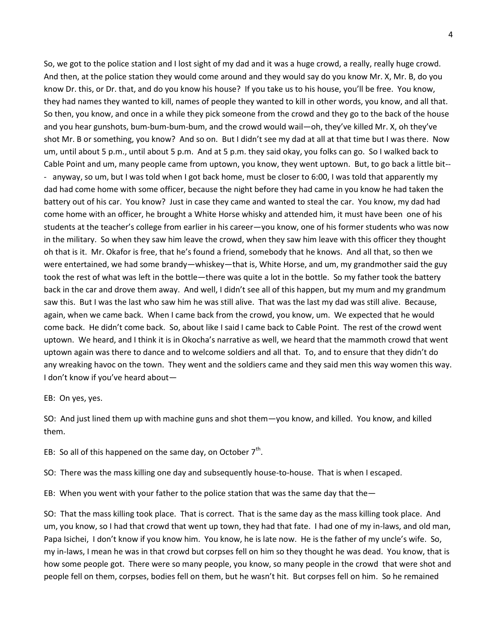So, we got to the police station and I lost sight of my dad and it was a huge crowd, a really, really huge crowd. And then, at the police station they would come around and they would say do you know Mr. X, Mr. B, do you know Dr. this, or Dr. that, and do you know his house? If you take us to his house, you'll be free. You know, they had names they wanted to kill, names of people they wanted to kill in other words, you know, and all that. So then, you know, and once in a while they pick someone from the crowd and they go to the back of the house and you hear gunshots, bum-bum-bum-bum, and the crowd would wail—oh, they've killed Mr. X, oh they've shot Mr. B or something, you know? And so on. But I didn't see my dad at all at that time but I was there. Now um, until about 5 p.m., until about 5 p.m. And at 5 p.m. they said okay, you folks can go. So I walked back to Cable Point and um, many people came from uptown, you know, they went uptown. But, to go back a little bit-- - anyway, so um, but I was told when I got back home, must be closer to 6:00, I was told that apparently my dad had come home with some officer, because the night before they had came in you know he had taken the battery out of his car. You know? Just in case they came and wanted to steal the car. You know, my dad had come home with an officer, he brought a White Horse whisky and attended him, it must have been one of his students at the teacher's college from earlier in his career—you know, one of his former students who was now in the military. So when they saw him leave the crowd, when they saw him leave with this officer they thought oh that is it. Mr. Okafor is free, that he's found a friend, somebody that he knows. And all that, so then we were entertained, we had some brandy—whiskey—that is, White Horse, and um, my grandmother said the guy took the rest of what was left in the bottle—there was quite a lot in the bottle. So my father took the battery back in the car and drove them away. And well, I didn't see all of this happen, but my mum and my grandmum saw this. But I was the last who saw him he was still alive. That was the last my dad was still alive. Because, again, when we came back. When I came back from the crowd, you know, um. We expected that he would come back. He didn't come back. So, about like I said I came back to Cable Point. The rest of the crowd went uptown. We heard, and I think it is in Okocha's narrative as well, we heard that the mammoth crowd that went uptown again was there to dance and to welcome soldiers and all that. To, and to ensure that they didn't do any wreaking havoc on the town. They went and the soldiers came and they said men this way women this way. I don't know if you've heard about—

EB: On yes, yes.

SO: And just lined them up with machine guns and shot them—you know, and killed. You know, and killed them.

EB: So all of this happened on the same day, on October  $7<sup>th</sup>$ .

SO: There was the mass killing one day and subsequently house-to-house. That is when I escaped.

EB: When you went with your father to the police station that was the same day that the -

SO: That the mass killing took place. That is correct. That is the same day as the mass killing took place. And um, you know, so I had that crowd that went up town, they had that fate. I had one of my in-laws, and old man, Papa Isichei, I don't know if you know him. You know, he is late now. He is the father of my uncle's wife. So, my in-laws, I mean he was in that crowd but corpses fell on him so they thought he was dead. You know, that is how some people got. There were so many people, you know, so many people in the crowd that were shot and people fell on them, corpses, bodies fell on them, but he wasn't hit. But corpses fell on him. So he remained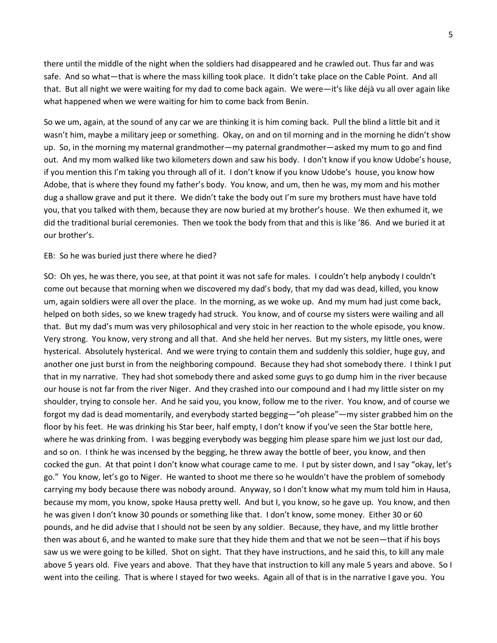there until the middle of the night when the soldiers had disappeared and he crawled out. Thus far and was safe. And so what—that is where the mass killing took place. It didn't take place on the Cable Point. And all that. But all night we were waiting for my dad to come back again. We were—it's like déjà vu all over again like what happened when we were waiting for him to come back from Benin.

So we um, again, at the sound of any car we are thinking it is him coming back. Pull the blind a little bit and it wasn't him, maybe a military jeep or something. Okay, on and on til morning and in the morning he didn't show up. So, in the morning my maternal grandmother—my paternal grandmother—asked my mum to go and find out. And my mom walked like two kilometers down and saw his body. I don't know if you know Udobe's house, if you mention this I'm taking you through all of it. I don't know if you know Udobe's house, you know how Adobe, that is where they found my father's body. You know, and um, then he was, my mom and his mother dug a shallow grave and put it there. We didn't take the body out I'm sure my brothers must have have told you, that you talked with them, because they are now buried at my brother's house. We then exhumed it, we did the traditional burial ceremonies. Then we took the body from that and this is like '86. And we buried it at our brother's.

#### EB: So he was buried just there where he died?

SO: Oh yes, he was there, you see, at that point it was not safe for males. I couldn't help anybody I couldn't come out because that morning when we discovered my dad's body, that my dad was dead, killed, you know um, again soldiers were all over the place. In the morning, as we woke up. And my mum had just come back, helped on both sides, so we knew tragedy had struck. You know, and of course my sisters were wailing and all that. But my dad's mum was very philosophical and very stoic in her reaction to the whole episode, you know. Very strong. You know, very strong and all that. And she held her nerves. But my sisters, my little ones, were hysterical. Absolutely hysterical. And we were trying to contain them and suddenly this soldier, huge guy, and another one just burst in from the neighboring compound. Because they had shot somebody there. I think I put that in my narrative. They had shot somebody there and asked some guys to go dump him in the river because our house is not far from the river Niger. And they crashed into our compound and I had my little sister on my shoulder, trying to console her. And he said you, you know, follow me to the river. You know, and of course we forgot my dad is dead momentarily, and everybody started begging—"oh please"—my sister grabbed him on the floor by his feet. He was drinking his Star beer, half empty, I don't know if you've seen the Star bottle here, where he was drinking from. I was begging everybody was begging him please spare him we just lost our dad, and so on. I think he was incensed by the begging, he threw away the bottle of beer, you know, and then cocked the gun. At that point I don't know what courage came to me. I put by sister down, and I say "okay, let's go." You know, let's go to Niger. He wanted to shoot me there so he wouldn't have the problem of somebody carrying my body because there was nobody around. Anyway, so I don't know what my mum told him in Hausa, because my mom, you know, spoke Hausa pretty well. And but I, you know, so he gave up. You know, and then he was given I don't know 30 pounds or something like that. I don't know, some money. Either 30 or 60 pounds, and he did advise that I should not be seen by any soldier. Because, they have, and my little brother then was about 6, and he wanted to make sure that they hide them and that we not be seen—that if his boys saw us we were going to be killed. Shot on sight. That they have instructions, and he said this, to kill any male above 5 years old. Five years and above. That they have that instruction to kill any male 5 years and above. So I went into the ceiling. That is where I stayed for two weeks. Again all of that is in the narrative I gave you. You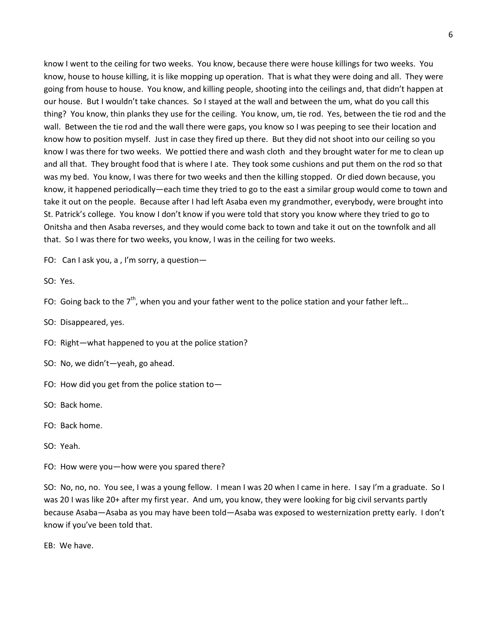know I went to the ceiling for two weeks. You know, because there were house killings for two weeks. You know, house to house killing, it is like mopping up operation. That is what they were doing and all. They were going from house to house. You know, and killing people, shooting into the ceilings and, that didn't happen at our house. But I wouldn't take chances. So I stayed at the wall and between the um, what do you call this thing? You know, thin planks they use for the ceiling. You know, um, tie rod. Yes, between the tie rod and the wall. Between the tie rod and the wall there were gaps, you know so I was peeping to see their location and know how to position myself. Just in case they fired up there. But they did not shoot into our ceiling so you know I was there for two weeks. We pottied there and wash cloth and they brought water for me to clean up and all that. They brought food that is where I ate. They took some cushions and put them on the rod so that was my bed. You know, I was there for two weeks and then the killing stopped. Or died down because, you know, it happened periodically—each time they tried to go to the east a similar group would come to town and take it out on the people. Because after I had left Asaba even my grandmother, everybody, were brought into St. Patrick's college. You know I don't know if you were told that story you know where they tried to go to Onitsha and then Asaba reverses, and they would come back to town and take it out on the townfolk and all that. So I was there for two weeks, you know, I was in the ceiling for two weeks.

FO: Can I ask you, a , I'm sorry, a question—

SO: Yes.

FO: Going back to the  $7<sup>th</sup>$ , when you and your father went to the police station and your father left...

SO: Disappeared, yes.

FO: Right—what happened to you at the police station?

SO: No, we didn't—yeah, go ahead.

FO: How did you get from the police station to—

SO: Back home.

FO: Back home.

SO: Yeah.

FO: How were you—how were you spared there?

SO: No, no, no. You see, I was a young fellow. I mean I was 20 when I came in here. I say I'm a graduate. So I was 20 I was like 20+ after my first year. And um, you know, they were looking for big civil servants partly because Asaba—Asaba as you may have been told—Asaba was exposed to westernization pretty early. I don't know if you've been told that.

EB: We have.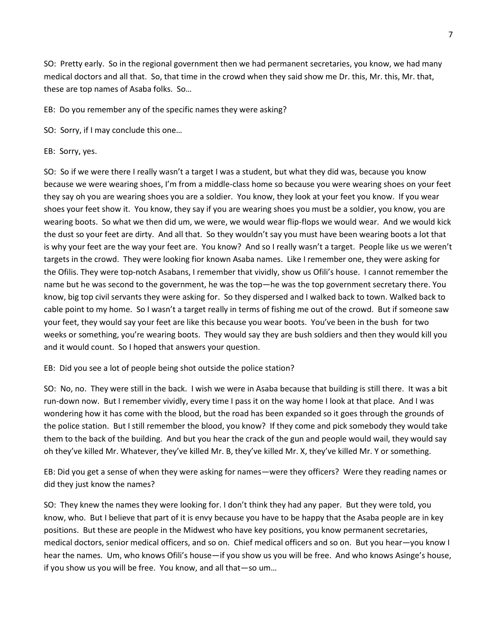SO: Pretty early. So in the regional government then we had permanent secretaries, you know, we had many medical doctors and all that. So, that time in the crowd when they said show me Dr. this, Mr. this, Mr. that, these are top names of Asaba folks. So…

EB: Do you remember any of the specific names they were asking?

SO: Sorry, if I may conclude this one…

EB: Sorry, yes.

SO: So if we were there I really wasn't a target I was a student, but what they did was, because you know because we were wearing shoes, I'm from a middle-class home so because you were wearing shoes on your feet they say oh you are wearing shoes you are a soldier. You know, they look at your feet you know. If you wear shoes your feet show it. You know, they say if you are wearing shoes you must be a soldier, you know, you are wearing boots. So what we then did um, we were, we would wear flip-flops we would wear. And we would kick the dust so your feet are dirty. And all that. So they wouldn't say you must have been wearing boots a lot that is why your feet are the way your feet are. You know? And so I really wasn't a target. People like us we weren't targets in the crowd. They were looking fior known Asaba names. Like I remember one, they were asking for the Ofilis. They were top-notch Asabans, I remember that vividly, show us Ofili's house. I cannot remember the name but he was second to the government, he was the top—he was the top government secretary there. You know, big top civil servants they were asking for. So they dispersed and I walked back to town. Walked back to cable point to my home. So I wasn't a target really in terms of fishing me out of the crowd. But if someone saw your feet, they would say your feet are like this because you wear boots. You've been in the bush for two weeks or something, you're wearing boots. They would say they are bush soldiers and then they would kill you and it would count. So I hoped that answers your question.

EB: Did you see a lot of people being shot outside the police station?

SO: No, no. They were still in the back. I wish we were in Asaba because that building is still there. It was a bit run-down now. But I remember vividly, every time I pass it on the way home I look at that place. And I was wondering how it has come with the blood, but the road has been expanded so it goes through the grounds of the police station. But I still remember the blood, you know? If they come and pick somebody they would take them to the back of the building. And but you hear the crack of the gun and people would wail, they would say oh they've killed Mr. Whatever, they've killed Mr. B, they've killed Mr. X, they've killed Mr. Y or something.

EB: Did you get a sense of when they were asking for names—were they officers? Were they reading names or did they just know the names?

SO: They knew the names they were looking for. I don't think they had any paper. But they were told, you know, who. But I believe that part of it is envy because you have to be happy that the Asaba people are in key positions. But these are people in the Midwest who have key positions, you know permanent secretaries, medical doctors, senior medical officers, and so on. Chief medical officers and so on. But you hear—you know I hear the names. Um, who knows Ofili's house—if you show us you will be free. And who knows Asinge's house, if you show us you will be free. You know, and all that—so um…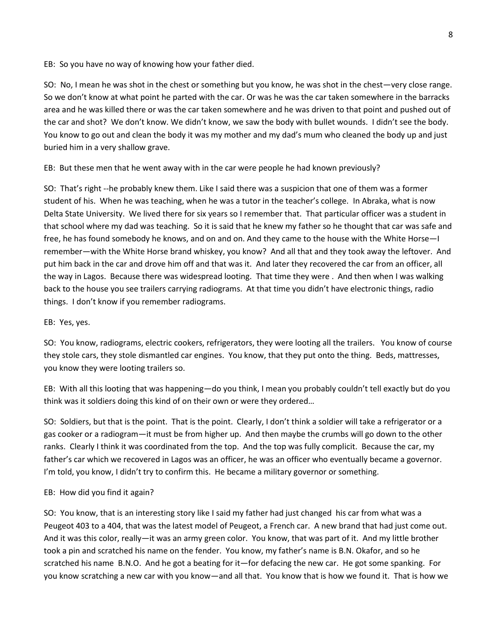EB: So you have no way of knowing how your father died.

SO: No, I mean he was shot in the chest or something but you know, he was shot in the chest—very close range. So we don't know at what point he parted with the car. Or was he was the car taken somewhere in the barracks area and he was killed there or was the car taken somewhere and he was driven to that point and pushed out of the car and shot? We don't know. We didn't know, we saw the body with bullet wounds. I didn't see the body. You know to go out and clean the body it was my mother and my dad's mum who cleaned the body up and just buried him in a very shallow grave.

EB: But these men that he went away with in the car were people he had known previously?

SO: That's right --he probably knew them. Like I said there was a suspicion that one of them was a former student of his. When he was teaching, when he was a tutor in the teacher's college. In Abraka, what is now Delta State University. We lived there for six years so I remember that. That particular officer was a student in that school where my dad was teaching. So it is said that he knew my father so he thought that car was safe and free, he has found somebody he knows, and on and on. And they came to the house with the White Horse—I remember—with the White Horse brand whiskey, you know? And all that and they took away the leftover. And put him back in the car and drove him off and that was it. And later they recovered the car from an officer, all the way in Lagos. Because there was widespread looting. That time they were . And then when I was walking back to the house you see trailers carrying radiograms. At that time you didn't have electronic things, radio things. I don't know if you remember radiograms.

EB: Yes, yes.

SO: You know, radiograms, electric cookers, refrigerators, they were looting all the trailers. You know of course they stole cars, they stole dismantled car engines. You know, that they put onto the thing. Beds, mattresses, you know they were looting trailers so.

EB: With all this looting that was happening—do you think, I mean you probably couldn't tell exactly but do you think was it soldiers doing this kind of on their own or were they ordered…

SO: Soldiers, but that is the point. That is the point. Clearly, I don't think a soldier will take a refrigerator or a gas cooker or a radiogram—it must be from higher up. And then maybe the crumbs will go down to the other ranks. Clearly I think it was coordinated from the top. And the top was fully complicit. Because the car, my father's car which we recovered in Lagos was an officer, he was an officer who eventually became a governor. I'm told, you know, I didn't try to confirm this. He became a military governor or something.

## EB: How did you find it again?

SO: You know, that is an interesting story like I said my father had just changed his car from what was a Peugeot 403 to a 404, that was the latest model of Peugeot, a French car. A new brand that had just come out. And it was this color, really—it was an army green color. You know, that was part of it. And my little brother took a pin and scratched his name on the fender. You know, my father's name is B.N. Okafor, and so he scratched his name B.N.O. And he got a beating for it—for defacing the new car. He got some spanking. For you know scratching a new car with you know—and all that. You know that is how we found it. That is how we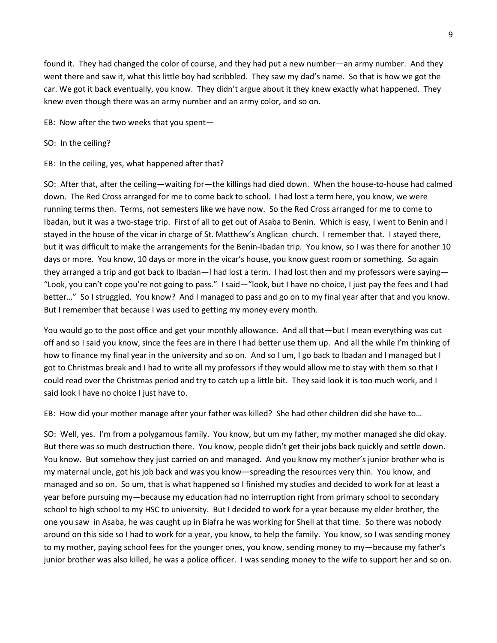found it. They had changed the color of course, and they had put a new number—an army number. And they went there and saw it, what this little boy had scribbled. They saw my dad's name. So that is how we got the car. We got it back eventually, you know. They didn't argue about it they knew exactly what happened. They knew even though there was an army number and an army color, and so on.

- EB: Now after the two weeks that you spent—
- SO: In the ceiling?
- EB: In the ceiling, yes, what happened after that?

SO: After that, after the ceiling—waiting for—the killings had died down. When the house-to-house had calmed down. The Red Cross arranged for me to come back to school. I had lost a term here, you know, we were running terms then. Terms, not semesters like we have now. So the Red Cross arranged for me to come to Ibadan, but it was a two-stage trip. First of all to get out of Asaba to Benin. Which is easy, I went to Benin and I stayed in the house of the vicar in charge of St. Matthew's Anglican church. I remember that. I stayed there, but it was difficult to make the arrangements for the Benin-Ibadan trip. You know, so I was there for another 10 days or more. You know, 10 days or more in the vicar's house, you know guest room or something. So again they arranged a trip and got back to Ibadan—I had lost a term. I had lost then and my professors were saying— "Look, you can't cope you're not going to pass." I said—"look, but I have no choice, I just pay the fees and I had better…" So I struggled. You know? And I managed to pass and go on to my final year after that and you know. But I remember that because I was used to getting my money every month.

You would go to the post office and get your monthly allowance. And all that—but I mean everything was cut off and so I said you know, since the fees are in there I had better use them up. And all the while I'm thinking of how to finance my final year in the university and so on. And so I um, I go back to Ibadan and I managed but I got to Christmas break and I had to write all my professors if they would allow me to stay with them so that I could read over the Christmas period and try to catch up a little bit. They said look it is too much work, and I said look I have no choice I just have to.

EB: How did your mother manage after your father was killed? She had other children did she have to…

SO: Well, yes. I'm from a polygamous family. You know, but um my father, my mother managed she did okay. But there was so much destruction there. You know, people didn't get their jobs back quickly and settle down. You know. But somehow they just carried on and managed. And you know my mother's junior brother who is my maternal uncle, got his job back and was you know—spreading the resources very thin. You know, and managed and so on. So um, that is what happened so I finished my studies and decided to work for at least a year before pursuing my—because my education had no interruption right from primary school to secondary school to high school to my HSC to university. But I decided to work for a year because my elder brother, the one you saw in Asaba, he was caught up in Biafra he was working for Shell at that time. So there was nobody around on this side so I had to work for a year, you know, to help the family. You know, so I was sending money to my mother, paying school fees for the younger ones, you know, sending money to my—because my father's junior brother was also killed, he was a police officer. I was sending money to the wife to support her and so on.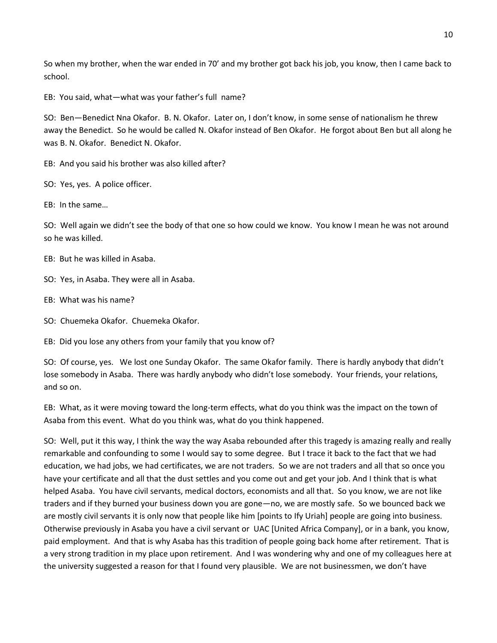So when my brother, when the war ended in 70' and my brother got back his job, you know, then I came back to school.

EB: You said, what—what was your father's full name?

SO: Ben—Benedict Nna Okafor. B. N. Okafor. Later on, I don't know, in some sense of nationalism he threw away the Benedict. So he would be called N. Okafor instead of Ben Okafor. He forgot about Ben but all along he was B. N. Okafor. Benedict N. Okafor.

EB: And you said his brother was also killed after?

SO: Yes, yes. A police officer.

EB: In the same…

SO: Well again we didn't see the body of that one so how could we know. You know I mean he was not around so he was killed.

EB: But he was killed in Asaba.

SO: Yes, in Asaba. They were all in Asaba.

EB: What was his name?

SO: Chuemeka Okafor. Chuemeka Okafor.

EB: Did you lose any others from your family that you know of?

SO: Of course, yes. We lost one Sunday Okafor. The same Okafor family. There is hardly anybody that didn't lose somebody in Asaba. There was hardly anybody who didn't lose somebody. Your friends, your relations, and so on.

EB: What, as it were moving toward the long-term effects, what do you think was the impact on the town of Asaba from this event. What do you think was, what do you think happened.

SO: Well, put it this way, I think the way the way Asaba rebounded after this tragedy is amazing really and really remarkable and confounding to some I would say to some degree. But I trace it back to the fact that we had education, we had jobs, we had certificates, we are not traders. So we are not traders and all that so once you have your certificate and all that the dust settles and you come out and get your job. And I think that is what helped Asaba. You have civil servants, medical doctors, economists and all that. So you know, we are not like traders and if they burned your business down you are gone—no, we are mostly safe. So we bounced back we are mostly civil servants it is only now that people like him [points to Ify Uriah] people are going into business. Otherwise previously in Asaba you have a civil servant or UAC [United Africa Company], or in a bank, you know, paid employment. And that is why Asaba has this tradition of people going back home after retirement. That is a very strong tradition in my place upon retirement. And I was wondering why and one of my colleagues here at the university suggested a reason for that I found very plausible. We are not businessmen, we don't have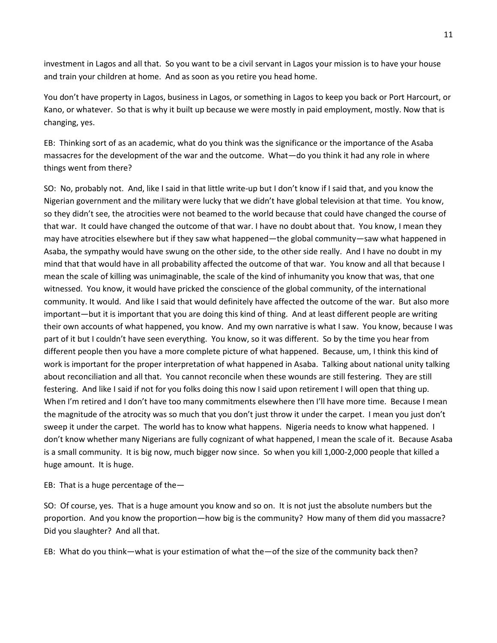investment in Lagos and all that. So you want to be a civil servant in Lagos your mission is to have your house and train your children at home. And as soon as you retire you head home.

You don't have property in Lagos, business in Lagos, or something in Lagos to keep you back or Port Harcourt, or Kano, or whatever. So that is why it built up because we were mostly in paid employment, mostly. Now that is changing, yes.

EB: Thinking sort of as an academic, what do you think was the significance or the importance of the Asaba massacres for the development of the war and the outcome. What—do you think it had any role in where things went from there?

SO: No, probably not. And, like I said in that little write-up but I don't know if I said that, and you know the Nigerian government and the military were lucky that we didn't have global television at that time. You know, so they didn't see, the atrocities were not beamed to the world because that could have changed the course of that war. It could have changed the outcome of that war. I have no doubt about that. You know, I mean they may have atrocities elsewhere but if they saw what happened—the global community—saw what happened in Asaba, the sympathy would have swung on the other side, to the other side really. And I have no doubt in my mind that that would have in all probability affected the outcome of that war. You know and all that because I mean the scale of killing was unimaginable, the scale of the kind of inhumanity you know that was, that one witnessed. You know, it would have pricked the conscience of the global community, of the international community. It would. And like I said that would definitely have affected the outcome of the war. But also more important—but it is important that you are doing this kind of thing. And at least different people are writing their own accounts of what happened, you know. And my own narrative is what I saw. You know, because I was part of it but I couldn't have seen everything. You know, so it was different. So by the time you hear from different people then you have a more complete picture of what happened. Because, um, I think this kind of work is important for the proper interpretation of what happened in Asaba. Talking about national unity talking about reconciliation and all that. You cannot reconcile when these wounds are still festering. They are still festering. And like I said if not for you folks doing this now I said upon retirement I will open that thing up. When I'm retired and I don't have too many commitments elsewhere then I'll have more time. Because I mean the magnitude of the atrocity was so much that you don't just throw it under the carpet. I mean you just don't sweep it under the carpet. The world has to know what happens. Nigeria needs to know what happened. I don't know whether many Nigerians are fully cognizant of what happened, I mean the scale of it. Because Asaba is a small community. It is big now, much bigger now since. So when you kill 1,000-2,000 people that killed a huge amount. It is huge.

EB: That is a huge percentage of the—

SO: Of course, yes. That is a huge amount you know and so on. It is not just the absolute numbers but the proportion. And you know the proportion—how big is the community? How many of them did you massacre? Did you slaughter? And all that.

EB: What do you think—what is your estimation of what the—of the size of the community back then?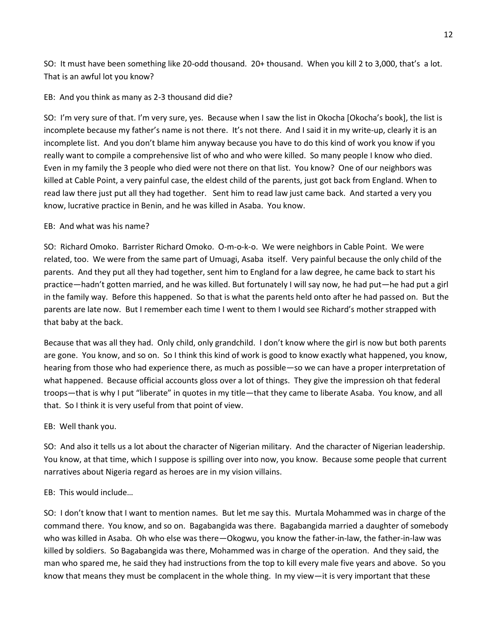SO: It must have been something like 20-odd thousand. 20+ thousand. When you kill 2 to 3,000, that's a lot. That is an awful lot you know?

EB: And you think as many as 2-3 thousand did die?

SO: I'm very sure of that. I'm very sure, yes. Because when I saw the list in Okocha [Okocha's book], the list is incomplete because my father's name is not there. It's not there. And I said it in my write-up, clearly it is an incomplete list. And you don't blame him anyway because you have to do this kind of work you know if you really want to compile a comprehensive list of who and who were killed. So many people I know who died. Even in my family the 3 people who died were not there on that list. You know? One of our neighbors was killed at Cable Point, a very painful case, the eldest child of the parents, just got back from England. When to read law there just put all they had together. Sent him to read law just came back. And started a very you know, lucrative practice in Benin, and he was killed in Asaba. You know.

# EB: And what was his name?

SO: Richard Omoko. Barrister Richard Omoko. O-m-o-k-o. We were neighbors in Cable Point. We were related, too. We were from the same part of Umuagi, Asaba itself. Very painful because the only child of the parents. And they put all they had together, sent him to England for a law degree, he came back to start his practice—hadn't gotten married, and he was killed. But fortunately I will say now, he had put—he had put a girl in the family way. Before this happened. So that is what the parents held onto after he had passed on. But the parents are late now. But I remember each time I went to them I would see Richard's mother strapped with that baby at the back.

Because that was all they had. Only child, only grandchild. I don't know where the girl is now but both parents are gone. You know, and so on. So I think this kind of work is good to know exactly what happened, you know, hearing from those who had experience there, as much as possible—so we can have a proper interpretation of what happened. Because official accounts gloss over a lot of things. They give the impression oh that federal troops—that is why I put "liberate" in quotes in my title—that they came to liberate Asaba. You know, and all that. So I think it is very useful from that point of view.

EB: Well thank you.

SO: And also it tells us a lot about the character of Nigerian military. And the character of Nigerian leadership. You know, at that time, which I suppose is spilling over into now, you know. Because some people that current narratives about Nigeria regard as heroes are in my vision villains.

# EB: This would include…

SO: I don't know that I want to mention names. But let me say this. Murtala Mohammed was in charge of the command there. You know, and so on. Bagabangida was there. Bagabangida married a daughter of somebody who was killed in Asaba. Oh who else was there—Okogwu, you know the father-in-law, the father-in-law was killed by soldiers. So Bagabangida was there, Mohammed was in charge of the operation. And they said, the man who spared me, he said they had instructions from the top to kill every male five years and above. So you know that means they must be complacent in the whole thing. In my view—it is very important that these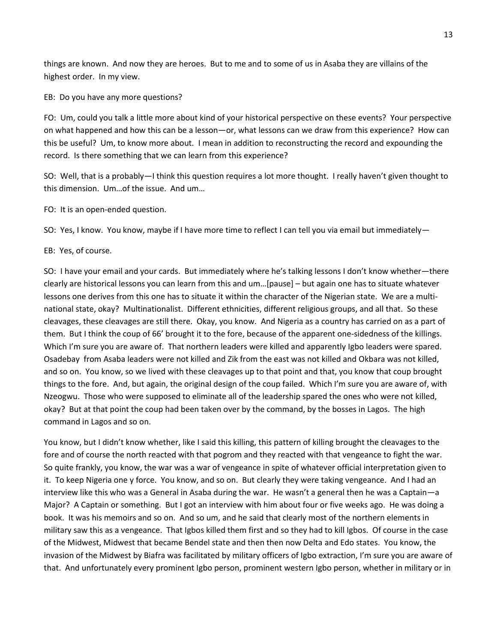things are known. And now they are heroes. But to me and to some of us in Asaba they are villains of the highest order. In my view.

EB: Do you have any more questions?

FO: Um, could you talk a little more about kind of your historical perspective on these events? Your perspective on what happened and how this can be a lesson—or, what lessons can we draw from this experience? How can this be useful? Um, to know more about. I mean in addition to reconstructing the record and expounding the record. Is there something that we can learn from this experience?

SO: Well, that is a probably—I think this question requires a lot more thought. I really haven't given thought to this dimension. Um…of the issue. And um…

FO: It is an open-ended question.

SO: Yes, I know. You know, maybe if I have more time to reflect I can tell you via email but immediately-

EB: Yes, of course.

SO: I have your email and your cards. But immediately where he's talking lessons I don't know whether—there clearly are historical lessons you can learn from this and um…[pause] – but again one has to situate whatever lessons one derives from this one has to situate it within the character of the Nigerian state. We are a multinational state, okay? Multinationalist. Different ethnicities, different religious groups, and all that. So these cleavages, these cleavages are still there. Okay, you know. And Nigeria as a country has carried on as a part of them. But I think the coup of 66' brought it to the fore, because of the apparent one-sidedness of the killings. Which I'm sure you are aware of. That northern leaders were killed and apparently Igbo leaders were spared. Osadebay from Asaba leaders were not killed and Zik from the east was not killed and Okbara was not killed, and so on. You know, so we lived with these cleavages up to that point and that, you know that coup brought things to the fore. And, but again, the original design of the coup failed. Which I'm sure you are aware of, with Nzeogwu. Those who were supposed to eliminate all of the leadership spared the ones who were not killed, okay? But at that point the coup had been taken over by the command, by the bosses in Lagos. The high command in Lagos and so on.

You know, but I didn't know whether, like I said this killing, this pattern of killing brought the cleavages to the fore and of course the north reacted with that pogrom and they reacted with that vengeance to fight the war. So quite frankly, you know, the war was a war of vengeance in spite of whatever official interpretation given to it. To keep Nigeria one y force. You know, and so on. But clearly they were taking vengeance. And I had an interview like this who was a General in Asaba during the war. He wasn't a general then he was a Captain—a Major? A Captain or something. But I got an interview with him about four or five weeks ago. He was doing a book. It was his memoirs and so on. And so um, and he said that clearly most of the northern elements in military saw this as a vengeance. That Igbos killed them first and so they had to kill Igbos. Of course in the case of the Midwest, Midwest that became Bendel state and then then now Delta and Edo states. You know, the invasion of the Midwest by Biafra was facilitated by military officers of Igbo extraction, I'm sure you are aware of that. And unfortunately every prominent Igbo person, prominent western Igbo person, whether in military or in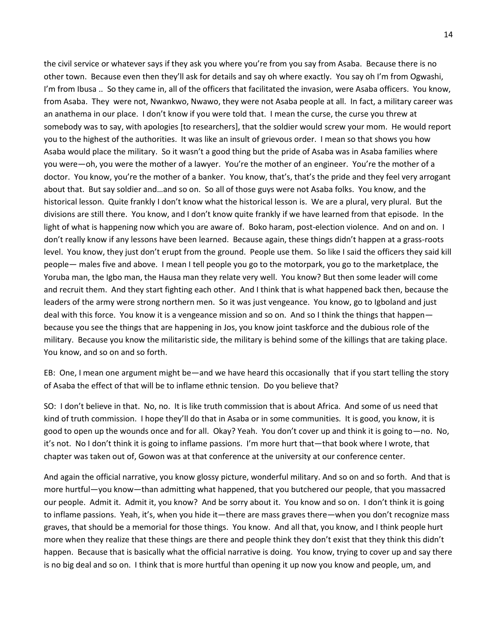the civil service or whatever says if they ask you where you're from you say from Asaba. Because there is no other town. Because even then they'll ask for details and say oh where exactly. You say oh I'm from Ogwashi, I'm from Ibusa .. So they came in, all of the officers that facilitated the invasion, were Asaba officers. You know, from Asaba. They were not, Nwankwo, Nwawo, they were not Asaba people at all. In fact, a military career was an anathema in our place. I don't know if you were told that. I mean the curse, the curse you threw at somebody was to say, with apologies [to researchers], that the soldier would screw your mom. He would report you to the highest of the authorities. It was like an insult of grievous order. I mean so that shows you how Asaba would place the military. So it wasn't a good thing but the pride of Asaba was in Asaba families where you were—oh, you were the mother of a lawyer. You're the mother of an engineer. You're the mother of a doctor. You know, you're the mother of a banker. You know, that's, that's the pride and they feel very arrogant about that. But say soldier and…and so on. So all of those guys were not Asaba folks. You know, and the historical lesson. Quite frankly I don't know what the historical lesson is. We are a plural, very plural. But the divisions are still there. You know, and I don't know quite frankly if we have learned from that episode. In the light of what is happening now which you are aware of. Boko haram, post-election violence. And on and on. I don't really know if any lessons have been learned. Because again, these things didn't happen at a grass-roots level. You know, they just don't erupt from the ground. People use them. So like I said the officers they said kill people— males five and above. I mean I tell people you go to the motorpark, you go to the marketplace, the Yoruba man, the Igbo man, the Hausa man they relate very well. You know? But then some leader will come and recruit them. And they start fighting each other. And I think that is what happened back then, because the leaders of the army were strong northern men. So it was just vengeance. You know, go to Igboland and just deal with this force. You know it is a vengeance mission and so on. And so I think the things that happen because you see the things that are happening in Jos, you know joint taskforce and the dubious role of the military. Because you know the militaristic side, the military is behind some of the killings that are taking place. You know, and so on and so forth.

EB: One, I mean one argument might be—and we have heard this occasionally that if you start telling the story of Asaba the effect of that will be to inflame ethnic tension. Do you believe that?

SO: I don't believe in that. No, no. It is like truth commission that is about Africa. And some of us need that kind of truth commission. I hope they'll do that in Asaba or in some communities. It is good, you know, it is good to open up the wounds once and for all. Okay? Yeah. You don't cover up and think it is going to—no. No, it's not. No I don't think it is going to inflame passions. I'm more hurt that—that book where I wrote, that chapter was taken out of, Gowon was at that conference at the university at our conference center.

And again the official narrative, you know glossy picture, wonderful military. And so on and so forth. And that is more hurtful—you know—than admitting what happened, that you butchered our people, that you massacred our people. Admit it. Admit it, you know? And be sorry about it. You know and so on. I don't think it is going to inflame passions. Yeah, it's, when you hide it—there are mass graves there—when you don't recognize mass graves, that should be a memorial for those things. You know. And all that, you know, and I think people hurt more when they realize that these things are there and people think they don't exist that they think this didn't happen. Because that is basically what the official narrative is doing. You know, trying to cover up and say there is no big deal and so on. I think that is more hurtful than opening it up now you know and people, um, and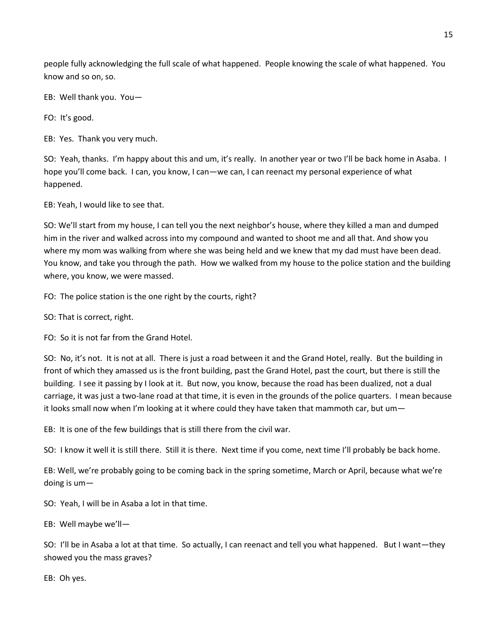people fully acknowledging the full scale of what happened. People knowing the scale of what happened. You know and so on, so.

EB: Well thank you. You—

FO: It's good.

EB: Yes. Thank you very much.

SO: Yeah, thanks. I'm happy about this and um, it's really. In another year or two I'll be back home in Asaba. I hope you'll come back. I can, you know, I can—we can, I can reenact my personal experience of what happened.

EB: Yeah, I would like to see that.

SO: We'll start from my house, I can tell you the next neighbor's house, where they killed a man and dumped him in the river and walked across into my compound and wanted to shoot me and all that. And show you where my mom was walking from where she was being held and we knew that my dad must have been dead. You know, and take you through the path. How we walked from my house to the police station and the building where, you know, we were massed.

FO: The police station is the one right by the courts, right?

SO: That is correct, right.

FO: So it is not far from the Grand Hotel.

SO: No, it's not. It is not at all. There is just a road between it and the Grand Hotel, really. But the building in front of which they amassed us is the front building, past the Grand Hotel, past the court, but there is still the building. I see it passing by I look at it. But now, you know, because the road has been dualized, not a dual carriage, it was just a two-lane road at that time, it is even in the grounds of the police quarters. I mean because it looks small now when I'm looking at it where could they have taken that mammoth car, but um—

EB: It is one of the few buildings that is still there from the civil war.

SO: I know it well it is still there. Still it is there. Next time if you come, next time I'll probably be back home.

EB: Well, we're probably going to be coming back in the spring sometime, March or April, because what we're doing is um—

SO: Yeah, I will be in Asaba a lot in that time.

EB: Well maybe we'll—

SO: I'll be in Asaba a lot at that time. So actually, I can reenact and tell you what happened. But I want—they showed you the mass graves?

EB: Oh yes.